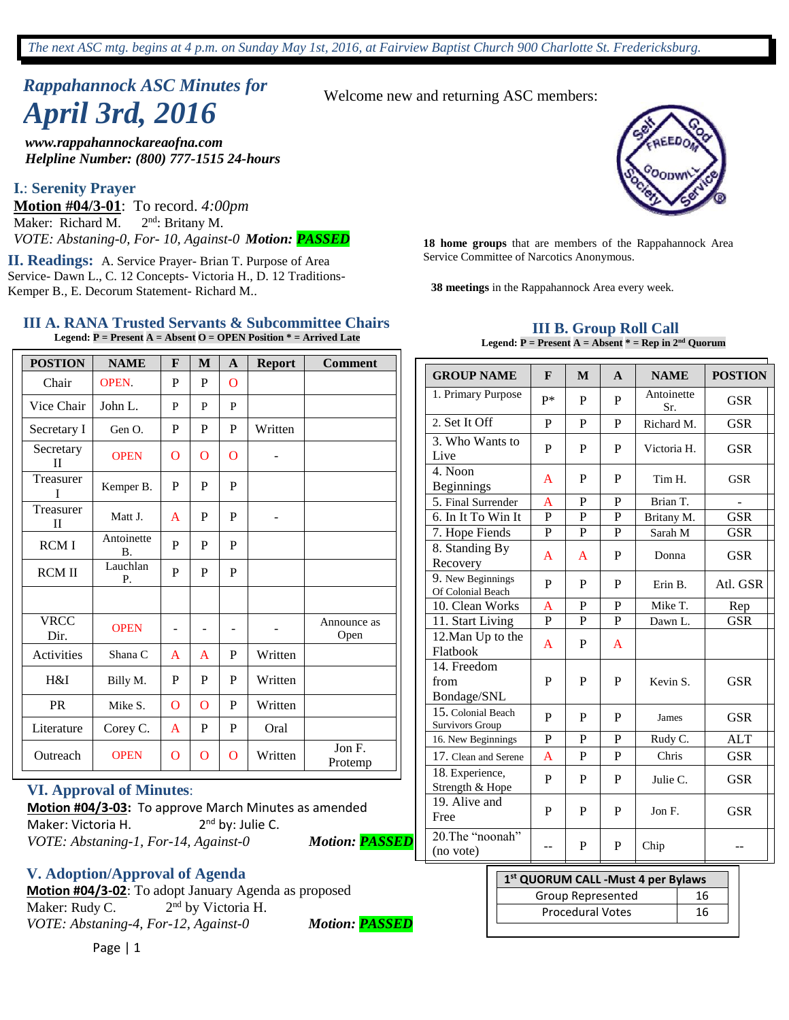# *Rappahannock ASC Minutes for April 3rd, 2016*

*www.rappahannockareaofna.com Helpline Number: (800) 777-1515 24-hours*

#### **I.**: **Serenity Prayer**

**Motion #04/3-01**: To record. *4:00pm*  Maker: Richard M.  $2<sup>nd</sup>$ : Britany M. *VOTE: Abstaning-0, For- 10, Against-0 Motion: PASSED* **<sup>18</sup> home groups** that are members of the Rappahannock Area

Service Committee of Narcotics Anonymous. **II. Readings:** A. Service Prayer- Brian T. Purpose of Area Service- Dawn L., C. 12 Concepts- Victoria H., D. 12 Traditions-Kemper B., E. Decorum Statement- Richard M..

#### **III A. RANA Trusted Servants & Subcommittee Chairs Legend: P = Present A = Absent O = OPEN Position \* = Arrived Late**

| <b>POSTION</b>            | <b>NAME</b>             | F              | M | $\mathbf{A}$   | <b>Report</b> | <b>Comment</b>      |
|---------------------------|-------------------------|----------------|---|----------------|---------------|---------------------|
| Chair                     | <b>OPEN</b>             | P              | P | $\overline{O}$ |               |                     |
| Vice Chair                | John L.                 | P              | P | P              |               |                     |
| Secretary I               | Gen O.                  | P              | P | P              | Written       |                     |
| Secretary<br>$\mathbf{I}$ | <b>OPEN</b>             | O              | O | $\mathbf O$    | -             |                     |
| Treasurer<br>T            | Kemper B.               | P              | P | P              |               |                     |
| Treasurer<br>$_{\rm II}$  | Matt J.                 | A              | P | P              |               |                     |
| <b>RCMI</b>               | Antoinette<br><b>B.</b> | P              | P | P              |               |                     |
| <b>RCM II</b>             | Lauchlan<br>Р.          | P              | P | P              |               |                     |
|                           |                         |                |   |                |               |                     |
| <b>VRCC</b><br>Dir.       | <b>OPEN</b>             |                |   |                |               | Announce as<br>Open |
| Activities                | Shana C                 | A              | A | P              | Written       |                     |
| H&I                       | Billy M.                | P              | P | P              | Written       |                     |
| <b>PR</b>                 | Mike S.                 | $\overline{O}$ | O | P              | Written       |                     |
| Literature                | Corey C.                | A              | P | P              | Oral          |                     |
| Outreach                  | <b>OPEN</b>             | $\overline{O}$ | O | O              | Written       | Jon F.<br>Protemp   |

#### **VI. Approval of Minutes**:

**Motion #04/3-03:** To approve March Minutes as amended Maker: Victoria H. 2<sup>nd</sup> by: Julie C. *VOTE: Abstaning-1, For-14, Against-0 Motion: PASSED*

**V. Adoption/Approval of Agenda**

**Motion #04/3-02**: To adopt January Agenda as proposed Maker: Rudy C. 2<sup>nd</sup> by Victoria H. *VOTE: Abstaning-4, For-12, Against-0 Motion: PASSED*

Page | 1

Welcome new and returning ASC members:



**38 meetings** in the Rappahannock Area every week.

#### **III B. Group Roll Call Legend: P = Present A = Absent \* = Rep in 2nd Quorum**

| <b>GROUP NAME</b>                      | $\mathbf{F}$   | M            | $\mathbf{A}$ | <b>NAME</b>       | <b>POSTION</b> |
|----------------------------------------|----------------|--------------|--------------|-------------------|----------------|
| 1. Primary Purpose                     | p*             | P            | P            | Antoinette<br>Sr. | <b>GSR</b>     |
| 2. Set It Off                          | P              | P            | P            | Richard M.        | <b>GSR</b>     |
| 3. Who Wants to<br>Live                | P              | P            | P            | Victoria H.       | <b>GSR</b>     |
| 4. Noon<br><b>Beginnings</b>           | A              | P            | P            | Tim H.            | <b>GSR</b>     |
| 5. Final Surrender                     | A              | P            | P            | Brian T.          |                |
| 6. In It To Win It                     | P              | P            | P            | Britany M.        | <b>GSR</b>     |
| 7. Hope Fiends                         | $\mathbf{P}$   | $\mathbf{P}$ | P            | Sarah M           | <b>GSR</b>     |
| 8. Standing By<br>Recovery             | A              | A            | P            | Donna             | <b>GSR</b>     |
| 9. New Beginnings<br>Of Colonial Beach | P              | P            | P            | Erin B.           | Atl. GSR       |
| 10. Clean Works                        | A              | P            | P            | Mike T.           | Rep            |
| 11. Start Living                       | $\mathbf{P}$   | P            | P            | Dawn L.           | <b>GSR</b>     |
| 12. Man Up to the<br>Flatbook          | A              | P            | A            |                   |                |
| 14. Freedom<br>from<br>Bondage/SNL     | P              | P            | P            | Kevin S.          | <b>GSR</b>     |
| 15. Colonial Beach<br>Survivors Group  | P              | P            | P            | James             | <b>GSR</b>     |
| 16. New Beginnings                     | $\overline{P}$ | P            | $\mathbf{P}$ | Rudy C.           | <b>ALT</b>     |
| 17. Clean and Serene                   | A              | P            | P            | Chris             | <b>GSR</b>     |
| 18. Experience,<br>Strength & Hope     | P              | P            | P            | Julie C.          | <b>GSR</b>     |
| 19. Alive and<br>Free                  | P              | P            | P            | Jon F.            | <b>GSR</b>     |
| 20. The "noonah"<br>(no vote)          | --             | P            | P            | Chip              |                |

| 1 <sup>st</sup> QUORUM CALL - Must 4 per Bylaws |     |  |  |  |
|-------------------------------------------------|-----|--|--|--|
| Group Represented                               | 16  |  |  |  |
| <b>Procedural Votes</b>                         | 16. |  |  |  |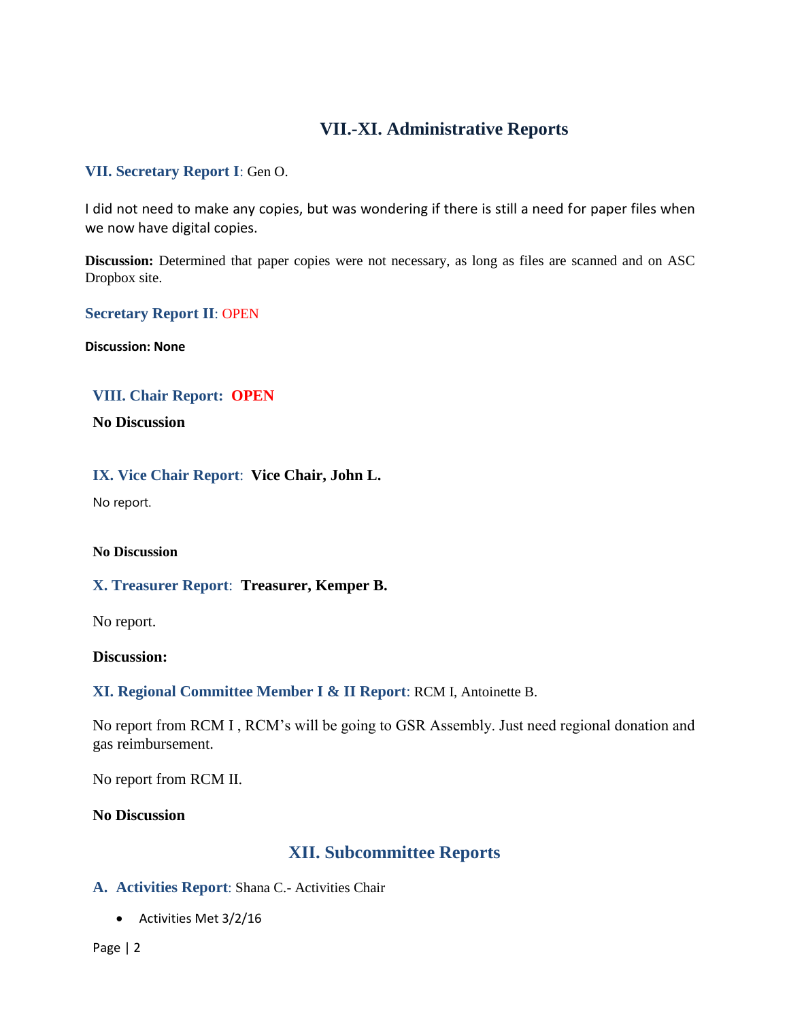# **VII.-XI. Administrative Reports**

## **VII. Secretary Report I**: Gen O.

I did not need to make any copies, but was wondering if there is still a need for paper files when we now have digital copies.

Discussion: Determined that paper copies were not necessary, as long as files are scanned and on ASC Dropbox site.

## **Secretary Report II**: OPEN

**Discussion: None**

# **VIII. Chair Report: OPEN**

**No Discussion**

### **IX. Vice Chair Report**: **Vice Chair, John L.**

No report.

#### **No Discussion**

#### **X. Treasurer Report**: **Treasurer, Kemper B.**

No report.

#### **Discussion:**

## **XI. Regional Committee Member I & II Report**: RCM I, Antoinette B.

No report from RCM I , RCM's will be going to GSR Assembly. Just need regional donation and gas reimbursement.

No report from RCM II.

**No Discussion**

# **XII. Subcommittee Reports**

## **A. Activities Report**: Shana C.- Activities Chair

Activities Met 3/2/16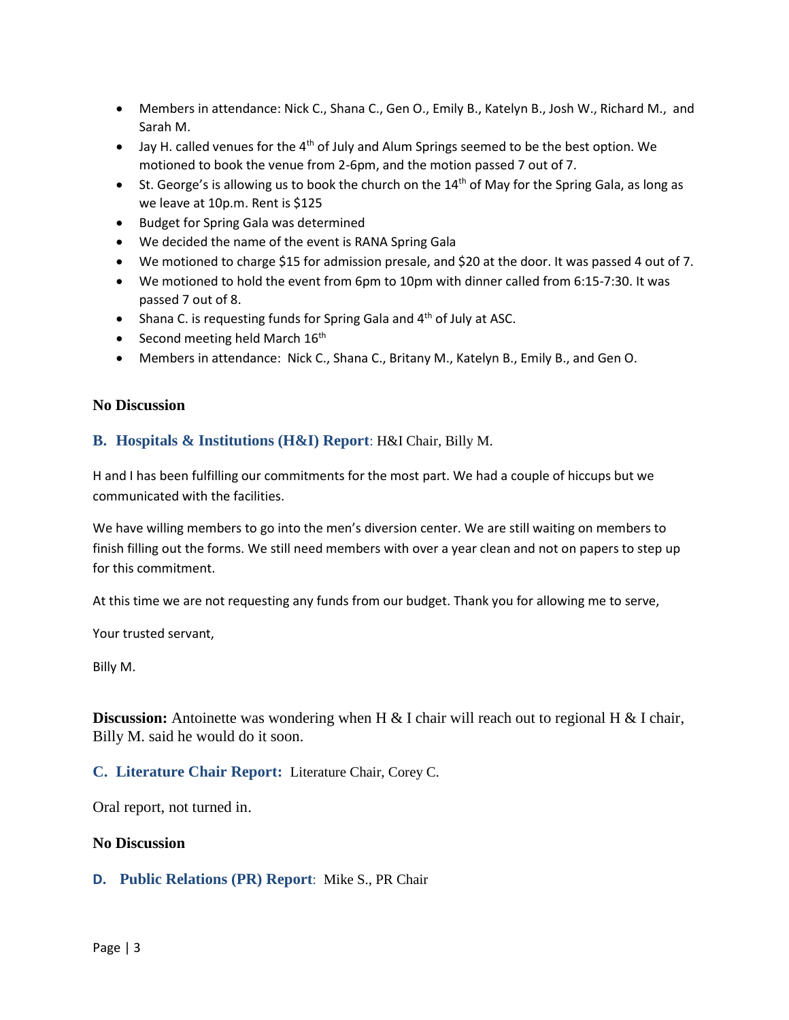- Members in attendance: Nick C., Shana C., Gen O., Emily B., Katelyn B., Josh W., Richard M., and Sarah M.
- $\bullet$  Jay H. called venues for the 4<sup>th</sup> of July and Alum Springs seemed to be the best option. We motioned to book the venue from 2-6pm, and the motion passed 7 out of 7.
- St. George's is allowing us to book the church on the  $14<sup>th</sup>$  of May for the Spring Gala, as long as we leave at 10p.m. Rent is \$125
- **•** Budget for Spring Gala was determined
- We decided the name of the event is RANA Spring Gala
- We motioned to charge \$15 for admission presale, and \$20 at the door. It was passed 4 out of 7.
- We motioned to hold the event from 6pm to 10pm with dinner called from 6:15-7:30. It was passed 7 out of 8.
- Shana C. is requesting funds for Spring Gala and  $4<sup>th</sup>$  of July at ASC.
- Second meeting held March  $16<sup>th</sup>$
- Members in attendance: Nick C., Shana C., Britany M., Katelyn B., Emily B., and Gen O.

## **No Discussion**

## **B. Hospitals & Institutions (H&I) Report**: H&I Chair, Billy M.

H and I has been fulfilling our commitments for the most part. We had a couple of hiccups but we communicated with the facilities.

We have willing members to go into the men's diversion center. We are still waiting on members to finish filling out the forms. We still need members with over a year clean and not on papers to step up for this commitment.

At this time we are not requesting any funds from our budget. Thank you for allowing me to serve,

Your trusted servant,

Billy M.

**Discussion:** Antoinette was wondering when H & I chair will reach out to regional H & I chair, Billy M. said he would do it soon.

## **C. Literature Chair Report:** Literature Chair, Corey C.

Oral report, not turned in.

#### **No Discussion**

## **D. Public Relations (PR) Report**: Mike S., PR Chair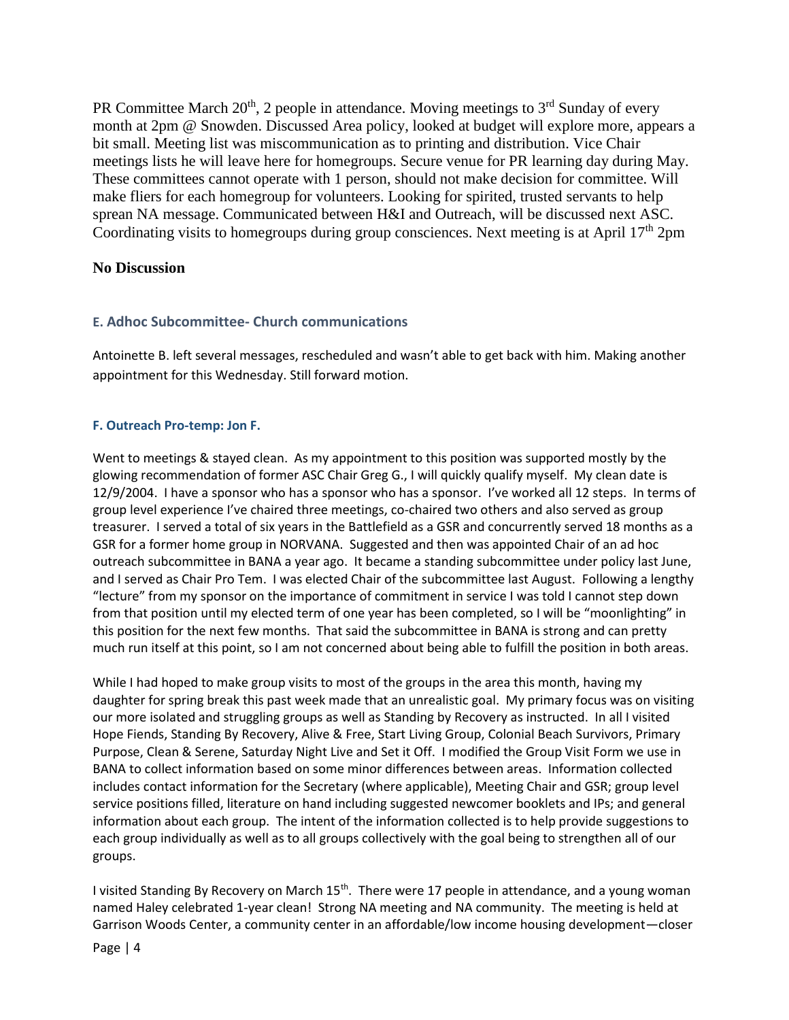PR Committee March  $20<sup>th</sup>$ , 2 people in attendance. Moving meetings to  $3<sup>rd</sup>$  Sunday of every month at 2pm @ Snowden. Discussed Area policy, looked at budget will explore more, appears a bit small. Meeting list was miscommunication as to printing and distribution. Vice Chair meetings lists he will leave here for homegroups. Secure venue for PR learning day during May. These committees cannot operate with 1 person, should not make decision for committee. Will make fliers for each homegroup for volunteers. Looking for spirited, trusted servants to help sprean NA message. Communicated between H&I and Outreach, will be discussed next ASC. Coordinating visits to homegroups during group consciences. Next meeting is at April  $17<sup>th</sup> 2pm$ 

#### **No Discussion**

### **E. Adhoc Subcommittee- Church communications**

Antoinette B. left several messages, rescheduled and wasn't able to get back with him. Making another appointment for this Wednesday. Still forward motion.

### **F. Outreach Pro-temp: Jon F.**

Went to meetings & stayed clean. As my appointment to this position was supported mostly by the glowing recommendation of former ASC Chair Greg G., I will quickly qualify myself. My clean date is 12/9/2004. I have a sponsor who has a sponsor who has a sponsor. I've worked all 12 steps. In terms of group level experience I've chaired three meetings, co-chaired two others and also served as group treasurer. I served a total of six years in the Battlefield as a GSR and concurrently served 18 months as a GSR for a former home group in NORVANA. Suggested and then was appointed Chair of an ad hoc outreach subcommittee in BANA a year ago. It became a standing subcommittee under policy last June, and I served as Chair Pro Tem. I was elected Chair of the subcommittee last August. Following a lengthy "lecture" from my sponsor on the importance of commitment in service I was told I cannot step down from that position until my elected term of one year has been completed, so I will be "moonlighting" in this position for the next few months. That said the subcommittee in BANA is strong and can pretty much run itself at this point, so I am not concerned about being able to fulfill the position in both areas.

While I had hoped to make group visits to most of the groups in the area this month, having my daughter for spring break this past week made that an unrealistic goal. My primary focus was on visiting our more isolated and struggling groups as well as Standing by Recovery as instructed. In all I visited Hope Fiends, Standing By Recovery, Alive & Free, Start Living Group, Colonial Beach Survivors, Primary Purpose, Clean & Serene, Saturday Night Live and Set it Off. I modified the Group Visit Form we use in BANA to collect information based on some minor differences between areas. Information collected includes contact information for the Secretary (where applicable), Meeting Chair and GSR; group level service positions filled, literature on hand including suggested newcomer booklets and IPs; and general information about each group. The intent of the information collected is to help provide suggestions to each group individually as well as to all groups collectively with the goal being to strengthen all of our groups.

I visited Standing By Recovery on March 15<sup>th</sup>. There were 17 people in attendance, and a young woman named Haley celebrated 1-year clean! Strong NA meeting and NA community. The meeting is held at Garrison Woods Center, a community center in an affordable/low income housing development—closer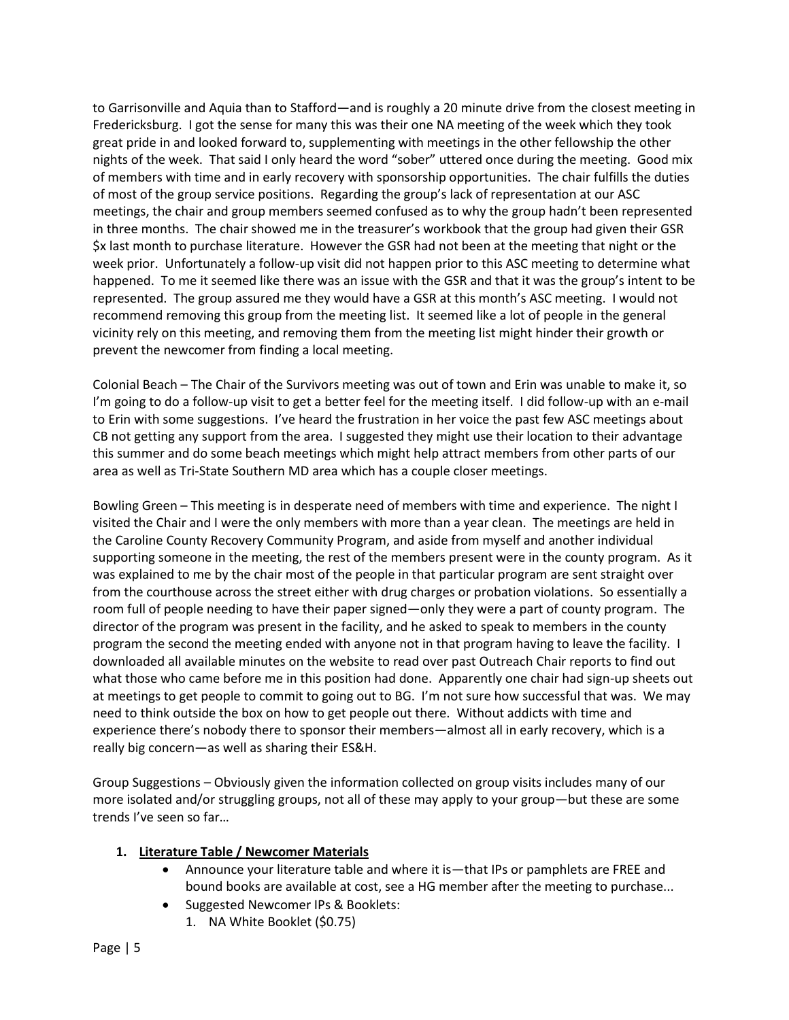to Garrisonville and Aquia than to Stafford—and is roughly a 20 minute drive from the closest meeting in Fredericksburg. I got the sense for many this was their one NA meeting of the week which they took great pride in and looked forward to, supplementing with meetings in the other fellowship the other nights of the week. That said I only heard the word "sober" uttered once during the meeting. Good mix of members with time and in early recovery with sponsorship opportunities. The chair fulfills the duties of most of the group service positions. Regarding the group's lack of representation at our ASC meetings, the chair and group members seemed confused as to why the group hadn't been represented in three months. The chair showed me in the treasurer's workbook that the group had given their GSR \$x last month to purchase literature. However the GSR had not been at the meeting that night or the week prior. Unfortunately a follow-up visit did not happen prior to this ASC meeting to determine what happened. To me it seemed like there was an issue with the GSR and that it was the group's intent to be represented. The group assured me they would have a GSR at this month's ASC meeting. I would not recommend removing this group from the meeting list. It seemed like a lot of people in the general vicinity rely on this meeting, and removing them from the meeting list might hinder their growth or prevent the newcomer from finding a local meeting.

Colonial Beach – The Chair of the Survivors meeting was out of town and Erin was unable to make it, so I'm going to do a follow-up visit to get a better feel for the meeting itself. I did follow-up with an e-mail to Erin with some suggestions. I've heard the frustration in her voice the past few ASC meetings about CB not getting any support from the area. I suggested they might use their location to their advantage this summer and do some beach meetings which might help attract members from other parts of our area as well as Tri-State Southern MD area which has a couple closer meetings.

Bowling Green – This meeting is in desperate need of members with time and experience. The night I visited the Chair and I were the only members with more than a year clean. The meetings are held in the Caroline County Recovery Community Program, and aside from myself and another individual supporting someone in the meeting, the rest of the members present were in the county program. As it was explained to me by the chair most of the people in that particular program are sent straight over from the courthouse across the street either with drug charges or probation violations. So essentially a room full of people needing to have their paper signed—only they were a part of county program. The director of the program was present in the facility, and he asked to speak to members in the county program the second the meeting ended with anyone not in that program having to leave the facility. I downloaded all available minutes on the website to read over past Outreach Chair reports to find out what those who came before me in this position had done. Apparently one chair had sign-up sheets out at meetings to get people to commit to going out to BG. I'm not sure how successful that was. We may need to think outside the box on how to get people out there. Without addicts with time and experience there's nobody there to sponsor their members—almost all in early recovery, which is a really big concern—as well as sharing their ES&H.

Group Suggestions – Obviously given the information collected on group visits includes many of our more isolated and/or struggling groups, not all of these may apply to your group—but these are some trends I've seen so far…

## **1. Literature Table / Newcomer Materials**

- Announce your literature table and where it is—that IPs or pamphlets are FREE and bound books are available at cost, see a HG member after the meeting to purchase...
- Suggested Newcomer IPs & Booklets:
	- 1. NA White Booklet (\$0.75)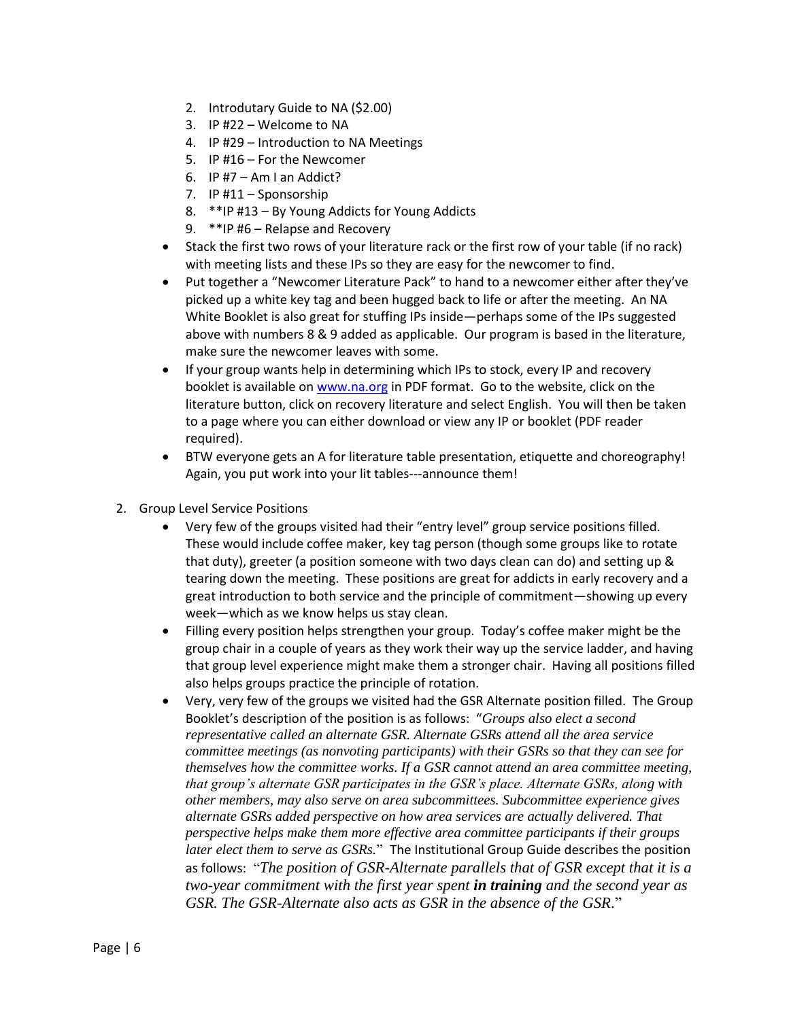- 2. Introdutary Guide to NA (\$2.00)
- 3. IP #22 Welcome to NA
- 4. IP #29 Introduction to NA Meetings
- 5. IP #16 For the Newcomer
- 6. IP  $#7 Am$  I an Addict?
- 7. IP #11 Sponsorship
- 8. \*\*IP #13 By Young Addicts for Young Addicts
- 9. \*\*IP #6 Relapse and Recovery
- Stack the first two rows of your literature rack or the first row of your table (if no rack) with meeting lists and these IPs so they are easy for the newcomer to find.
- Put together a "Newcomer Literature Pack" to hand to a newcomer either after they've picked up a white key tag and been hugged back to life or after the meeting. An NA White Booklet is also great for stuffing IPs inside—perhaps some of the IPs suggested above with numbers 8 & 9 added as applicable. Our program is based in the literature, make sure the newcomer leaves with some.
- If your group wants help in determining which IPs to stock, every IP and recovery booklet is available on [www.na.org](http://www.na.org/) in PDF format. Go to the website, click on the literature button, click on recovery literature and select English. You will then be taken to a page where you can either download or view any IP or booklet (PDF reader required).
- BTW everyone gets an A for literature table presentation, etiquette and choreography! Again, you put work into your lit tables---announce them!
- 2. Group Level Service Positions
	- Very few of the groups visited had their "entry level" group service positions filled. These would include coffee maker, key tag person (though some groups like to rotate that duty), greeter (a position someone with two days clean can do) and setting up & tearing down the meeting. These positions are great for addicts in early recovery and a great introduction to both service and the principle of commitment—showing up every week—which as we know helps us stay clean.
	- Filling every position helps strengthen your group. Today's coffee maker might be the group chair in a couple of years as they work their way up the service ladder, and having that group level experience might make them a stronger chair. Having all positions filled also helps groups practice the principle of rotation.
	- Very, very few of the groups we visited had the GSR Alternate position filled. The Group Booklet's description of the position is as follows: "*Groups also elect a second representative called an alternate GSR. Alternate GSRs attend all the area service committee meetings (as nonvoting participants) with their GSRs so that they can see for themselves how the committee works. If a GSR cannot attend an area committee meeting, that group's alternate GSR participates in the GSR's place. Alternate GSRs, along with other members, may also serve on area subcommittees. Subcommittee experience gives alternate GSRs added perspective on how area services are actually delivered. That perspective helps make them more effective area committee participants if their groups later elect them to serve as GSRs.*" The Institutional Group Guide describes the position as follows: "*The position of GSR-Alternate parallels that of GSR except that it is a two-year commitment with the first year spent in training and the second year as GSR. The GSR-Alternate also acts as GSR in the absence of the GSR*."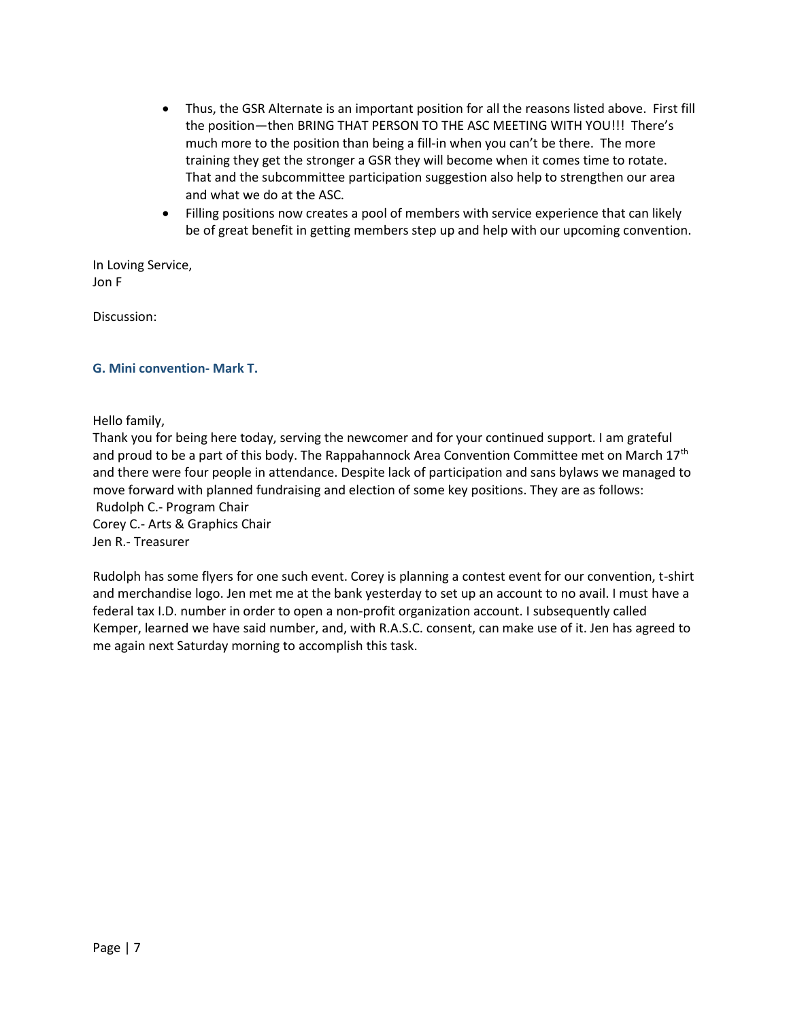- Thus, the GSR Alternate is an important position for all the reasons listed above. First fill the position—then BRING THAT PERSON TO THE ASC MEETING WITH YOU!!! There's much more to the position than being a fill-in when you can't be there. The more training they get the stronger a GSR they will become when it comes time to rotate. That and the subcommittee participation suggestion also help to strengthen our area and what we do at the ASC.
- Filling positions now creates a pool of members with service experience that can likely be of great benefit in getting members step up and help with our upcoming convention.

In Loving Service, Jon F

Discussion:

#### **G. Mini convention- Mark T.**

Hello family,

Thank you for being here today, serving the newcomer and for your continued support. I am grateful and proud to be a part of this body. The Rappahannock Area Convention Committee met on March 17<sup>th</sup> and there were four people in attendance. Despite lack of participation and sans bylaws we managed to move forward with planned fundraising and election of some key positions. They are as follows: Rudolph C.- Program Chair Corey C.- Arts & Graphics Chair Jen R.- Treasurer

Rudolph has some flyers for one such event. Corey is planning a contest event for our convention, t-shirt and merchandise logo. Jen met me at the bank yesterday to set up an account to no avail. I must have a federal tax I.D. number in order to open a non-profit organization account. I subsequently called Kemper, learned we have said number, and, with R.A.S.C. consent, can make use of it. Jen has agreed to me again next Saturday morning to accomplish this task.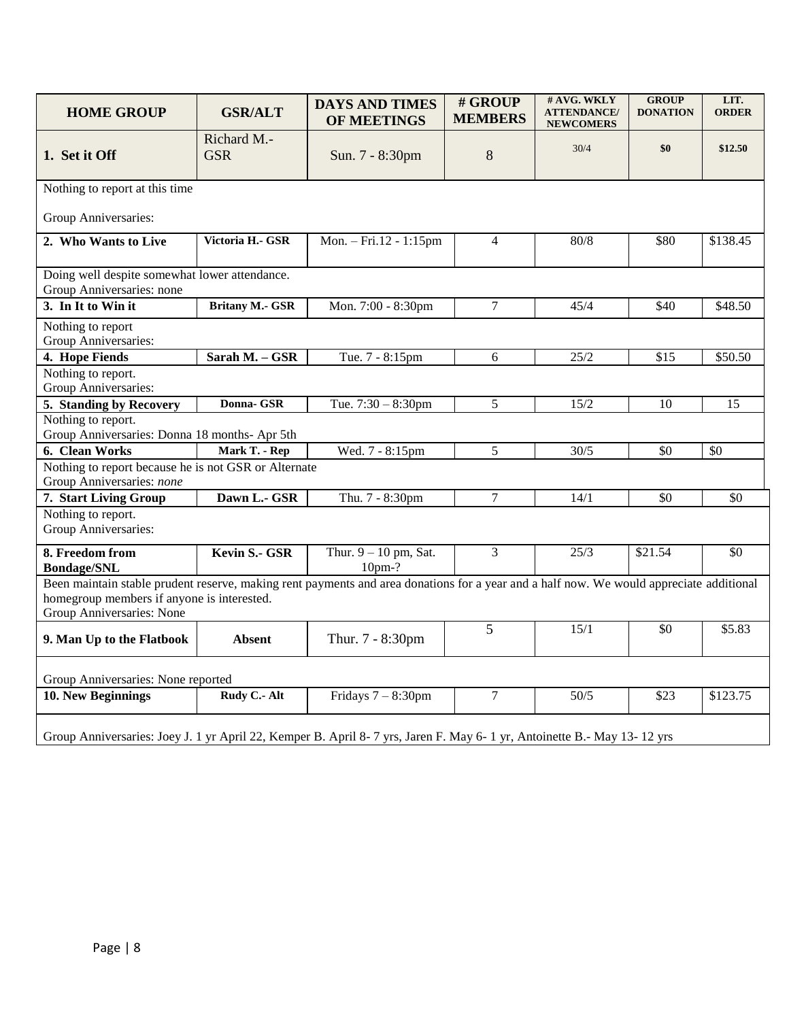| <b>HOME GROUP</b>                                                                                                                                                                                                  | <b>GSR/ALT</b>            | <b>DAYS AND TIMES</b><br><b>OF MEETINGS</b> | # GROUP<br><b>MEMBERS</b> | # AVG. WKLY<br><b>ATTENDANCE/</b><br><b>NEWCOMERS</b> | <b>GROUP</b><br><b>DONATION</b> | LIT.<br><b>ORDER</b> |  |
|--------------------------------------------------------------------------------------------------------------------------------------------------------------------------------------------------------------------|---------------------------|---------------------------------------------|---------------------------|-------------------------------------------------------|---------------------------------|----------------------|--|
| 1. Set it Off                                                                                                                                                                                                      | Richard M.-<br><b>GSR</b> | Sun. 7 - 8:30pm                             | 8                         | 30/4                                                  | \$0                             | \$12.50              |  |
| Nothing to report at this time                                                                                                                                                                                     |                           |                                             |                           |                                                       |                                 |                      |  |
| Group Anniversaries:                                                                                                                                                                                               |                           |                                             |                           |                                                       |                                 |                      |  |
| 2. Who Wants to Live                                                                                                                                                                                               | Victoria H.- GSR          | Mon. - Fri.12 - 1:15pm                      | $\overline{4}$            | 80/8                                                  | \$80                            | \$138.45             |  |
| Doing well despite somewhat lower attendance.<br>Group Anniversaries: none                                                                                                                                         |                           |                                             |                           |                                                       |                                 |                      |  |
| 3. In It to Win it                                                                                                                                                                                                 | <b>Britany M.- GSR</b>    | Mon. 7:00 - 8:30pm                          | $\overline{7}$            | 45/4                                                  | $\overline{$40}$                | \$48.50              |  |
| Nothing to report<br>Group Anniversaries:                                                                                                                                                                          |                           |                                             |                           |                                                       |                                 |                      |  |
| 4. Hope Fiends                                                                                                                                                                                                     | Sarah M. - GSR            | Tue. 7 - 8:15pm                             | 6                         | 25/2                                                  | $\overline{$15}$                | \$50.50              |  |
| Nothing to report.<br>Group Anniversaries:                                                                                                                                                                         |                           |                                             |                           |                                                       |                                 |                      |  |
| 5. Standing by Recovery                                                                                                                                                                                            | Donna- GSR                | Tue. $7:30 - 8:30$ pm                       | 5                         | 15/2                                                  | 10                              | 15                   |  |
| Nothing to report.<br>Group Anniversaries: Donna 18 months- Apr 5th                                                                                                                                                |                           |                                             |                           |                                                       |                                 |                      |  |
| 6. Clean Works                                                                                                                                                                                                     | Mark T. - Rep             | Wed. 7 - 8:15pm                             | 5                         | 30/5                                                  | \$0                             | \$0                  |  |
| Nothing to report because he is not GSR or Alternate<br>Group Anniversaries: none                                                                                                                                  |                           |                                             |                           |                                                       |                                 |                      |  |
| 7. Start Living Group                                                                                                                                                                                              | Dawn L.- GSR              | Thu. 7 - 8:30pm                             | $\overline{7}$            | 14/1                                                  | \$0                             | \$0                  |  |
| Nothing to report.<br>Group Anniversaries:                                                                                                                                                                         |                           |                                             |                           |                                                       |                                 |                      |  |
| 8. Freedom from<br><b>Bondage/SNL</b>                                                                                                                                                                              | Kevin S.- GSR             | Thur. $9 - 10$ pm, Sat.<br>10pm-?           | 3                         | 25/3                                                  | \$21.54                         | $\overline{50}$      |  |
| Been maintain stable prudent reserve, making rent payments and area donations for a year and a half now. We would appreciate additional<br>homegroup members if anyone is interested.<br>Group Anniversaries: None |                           |                                             |                           |                                                       |                                 |                      |  |
| 9. Man Up to the Flatbook                                                                                                                                                                                          | Absent                    | Thur. 7 - 8:30pm                            | 5                         | 15/1                                                  | \$0                             | \$5.83               |  |
| Group Anniversaries: None reported                                                                                                                                                                                 |                           |                                             |                           |                                                       |                                 |                      |  |
| 10. New Beginnings                                                                                                                                                                                                 | Rudy C .- Alt             | Fridays $7 - 8:30$ pm                       | $\tau$                    | 50/5                                                  | \$23                            | \$123.75             |  |
| Group Anniversaries: Joey J. 1 yr April 22, Kemper B. April 8-7 yrs, Jaren F. May 6-1 yr, Antoinette B.- May 13-12 yrs                                                                                             |                           |                                             |                           |                                                       |                                 |                      |  |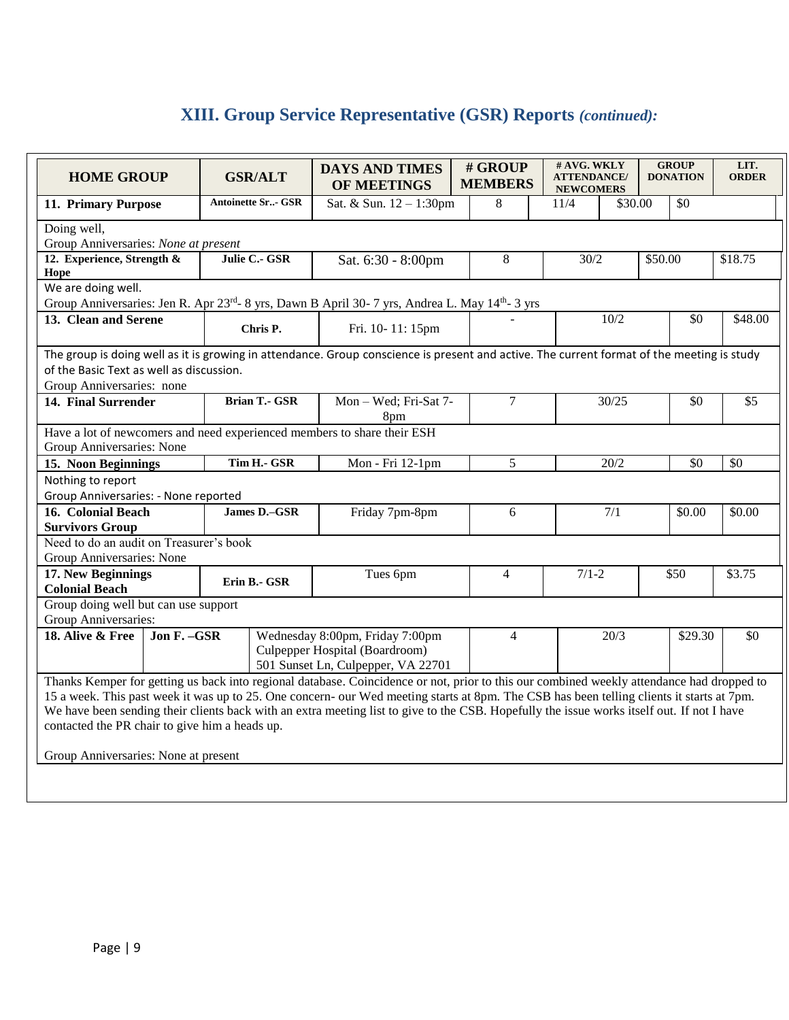# **XIII. Group Service Representative (GSR) Reports** *(continued):*

| <b>HOME GROUP</b>                                                                                                                          | <b>GSR/ALT</b>                       | <b>DAYS AND TIMES</b><br>OF MEETINGS | # GROUP<br><b>MEMBERS</b> | # AVG. WKLY<br><b>ATTENDANCE/</b><br><b>NEWCOMERS</b> | <b>GROUP</b><br><b>DONATION</b> | LIT.<br><b>ORDER</b> |  |  |
|--------------------------------------------------------------------------------------------------------------------------------------------|--------------------------------------|--------------------------------------|---------------------------|-------------------------------------------------------|---------------------------------|----------------------|--|--|
| 11. Primary Purpose                                                                                                                        | <b>Antoinette Sr - GSR</b>           | Sat. & Sun. 12 - 1:30pm              | 8                         | 11/4                                                  | \$30.00<br>\$0                  |                      |  |  |
| Doing well,                                                                                                                                |                                      |                                      |                           |                                                       |                                 |                      |  |  |
| Group Anniversaries: None at present                                                                                                       |                                      |                                      |                           |                                                       |                                 |                      |  |  |
| 12. Experience, Strength &                                                                                                                 | Julie C.- GSR                        | Sat. 6:30 - 8:00pm                   | $8\,$                     | 30/2                                                  | \$50.00                         | \$18.75              |  |  |
| Hope                                                                                                                                       |                                      |                                      |                           |                                                       |                                 |                      |  |  |
| We are doing well.                                                                                                                         |                                      |                                      |                           |                                                       |                                 |                      |  |  |
| Group Anniversaries: Jen R. Apr 23rd- 8 yrs, Dawn B April 30- 7 yrs, Andrea L. May 14th- 3 yrs<br>13. Clean and Serene                     |                                      |                                      |                           |                                                       |                                 |                      |  |  |
|                                                                                                                                            | Chris P.                             | Fri. 10-11: 15pm                     |                           | 10/2                                                  | \$0                             | \$48.00              |  |  |
| The group is doing well as it is growing in attendance. Group conscience is present and active. The current format of the meeting is study |                                      |                                      |                           |                                                       |                                 |                      |  |  |
| of the Basic Text as well as discussion.                                                                                                   |                                      |                                      |                           |                                                       |                                 |                      |  |  |
| Group Anniversaries: none                                                                                                                  |                                      |                                      |                           |                                                       |                                 |                      |  |  |
| 14. Final Surrender                                                                                                                        | <b>Brian T.- GSR</b>                 | Mon - Wed; Fri-Sat 7-<br>8pm         | 7                         | 30/25                                                 | \$0                             | \$5                  |  |  |
| Have a lot of newcomers and need experienced members to share their ESH                                                                    |                                      |                                      |                           |                                                       |                                 |                      |  |  |
| Group Anniversaries: None                                                                                                                  |                                      |                                      |                           |                                                       |                                 |                      |  |  |
| 15. Noon Beginnings                                                                                                                        | Tim H.- GSR                          | Mon - Fri 12-1pm                     | 5                         | 20/2                                                  | \$0                             | \$0                  |  |  |
| Nothing to report                                                                                                                          |                                      |                                      |                           |                                                       |                                 |                      |  |  |
| Group Anniversaries: - None reported                                                                                                       |                                      |                                      |                           |                                                       |                                 |                      |  |  |
| 16. Colonial Beach                                                                                                                         | James D.-GSR                         | Friday 7pm-8pm                       | 6                         | 7/1                                                   | \$0.00                          | \$0.00               |  |  |
| <b>Survivors Group</b>                                                                                                                     |                                      |                                      |                           |                                                       |                                 |                      |  |  |
| Need to do an audit on Treasurer's book                                                                                                    |                                      |                                      |                           |                                                       |                                 |                      |  |  |
| Group Anniversaries: None                                                                                                                  |                                      |                                      |                           |                                                       |                                 |                      |  |  |
| 17. New Beginnings                                                                                                                         | Erin B.- GSR                         | Tues 6pm                             | $\overline{4}$            | $7/1 - 2$                                             | \$50                            | \$3.75               |  |  |
| <b>Colonial Beach</b>                                                                                                                      |                                      |                                      |                           |                                                       |                                 |                      |  |  |
|                                                                                                                                            | Group doing well but can use support |                                      |                           |                                                       |                                 |                      |  |  |
| Group Anniversaries:                                                                                                                       |                                      | Wednesday 8:00pm, Friday 7:00pm      | $\overline{4}$            | 20/3                                                  | \$29.30                         | \$0                  |  |  |
| Jon F. - GSR<br>18. Alive & Free                                                                                                           |                                      | Culpepper Hospital (Boardroom)       |                           |                                                       |                                 |                      |  |  |
|                                                                                                                                            |                                      | 501 Sunset Ln, Culpepper, VA 22701   |                           |                                                       |                                 |                      |  |  |
| Thanks Kemper for getting us back into regional database. Coincidence or not, prior to this our combined weekly attendance had dropped to  |                                      |                                      |                           |                                                       |                                 |                      |  |  |
| 15 a week. This past week it was up to 25. One concern- our Wed meeting starts at 8pm. The CSB has been telling clients it starts at 7pm.  |                                      |                                      |                           |                                                       |                                 |                      |  |  |
| We have been sending their clients back with an extra meeting list to give to the CSB. Hopefully the issue works itself out. If not I have |                                      |                                      |                           |                                                       |                                 |                      |  |  |
| contacted the PR chair to give him a heads up.                                                                                             |                                      |                                      |                           |                                                       |                                 |                      |  |  |
|                                                                                                                                            |                                      |                                      |                           |                                                       |                                 |                      |  |  |
| Group Anniversaries: None at present                                                                                                       |                                      |                                      |                           |                                                       |                                 |                      |  |  |
|                                                                                                                                            |                                      |                                      |                           |                                                       |                                 |                      |  |  |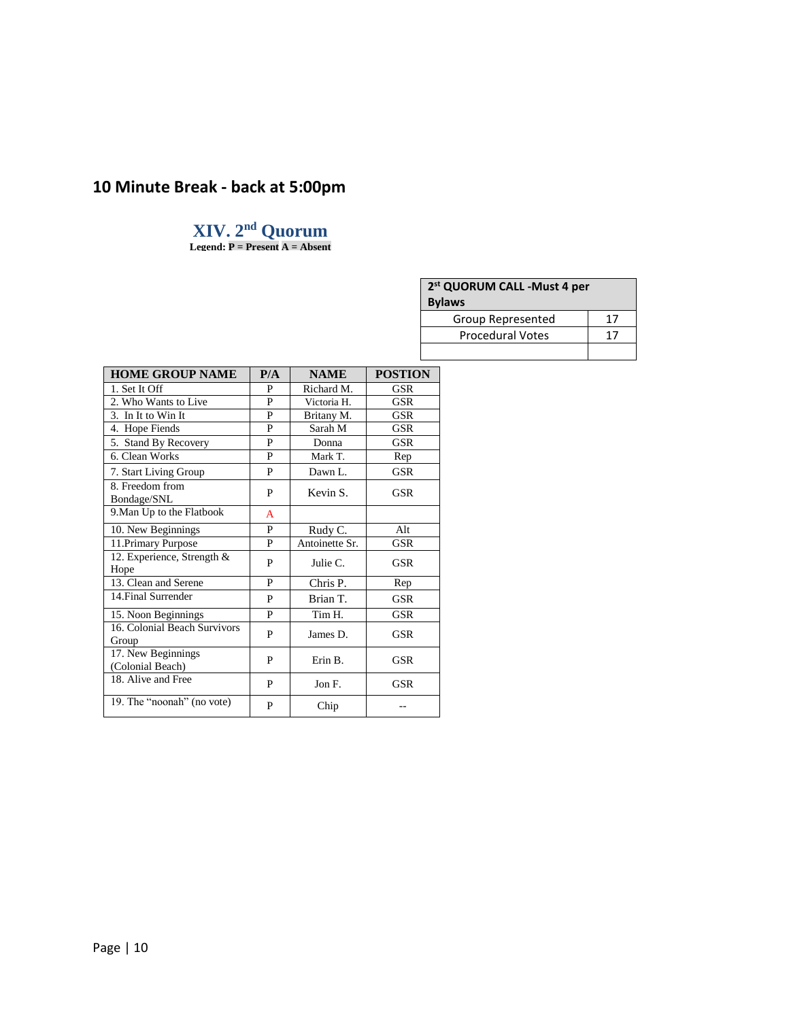# **10 Minute Break - back at 5:00pm**

# **XIV. 2 nd Quorum**

**Legend: P = Present A = Absent**

| 2 <sup>st</sup> QUORUM CALL -Must 4 per |    |  |  |  |
|-----------------------------------------|----|--|--|--|
| <b>Bylaws</b>                           |    |  |  |  |
| Group Represented                       | 17 |  |  |  |
| <b>Procedural Votes</b>                 | 17 |  |  |  |
|                                         |    |  |  |  |

| <b>HOME GROUP NAME</b>                 | P/A | <b>NAME</b>    | <b>POSTION</b> |
|----------------------------------------|-----|----------------|----------------|
| 1. Set It Off                          | P   | Richard M.     | GSR            |
| 2. Who Wants to Live                   | P   | Victoria H.    | <b>GSR</b>     |
| 3. In It to Win It                     | P   | Britany M.     | <b>GSR</b>     |
| 4. Hope Fiends                         | P   | Sarah M        | GSR            |
| 5. Stand By Recovery                   | P   | Donna          | <b>GSR</b>     |
| 6. Clean Works                         | P   | Mark T.        | Rep            |
| 7. Start Living Group                  | P   | Dawn L.        | <b>GSR</b>     |
| 8. Freedom from<br>Bondage/SNL         | P   | Kevin S.       | GSR            |
| 9. Man Up to the Flatbook              | A   |                |                |
| 10. New Beginnings                     | P   | Rudy C.        | Alt            |
| 11. Primary Purpose                    | P   | Antoinette Sr. | GSR            |
| 12. Experience, Strength $\&$<br>Hope  | P   | Julie C.       | GSR            |
| 13. Clean and Serene                   | P   | Chris P.       | Rep            |
| 14. Final Surrender                    | P   | Brian T.       | <b>GSR</b>     |
| 15. Noon Beginnings                    | P   | Tim H.         | GSR            |
| 16. Colonial Beach Survivors<br>Group  | P   | James D.       | GSR            |
| 17. New Beginnings<br>(Colonial Beach) | P   | Erin B.        | GSR            |
| 18. Alive and Free                     | P   | Jon F.         | GSR            |
| 19. The "noonah" (no vote)             | P   | Chip           |                |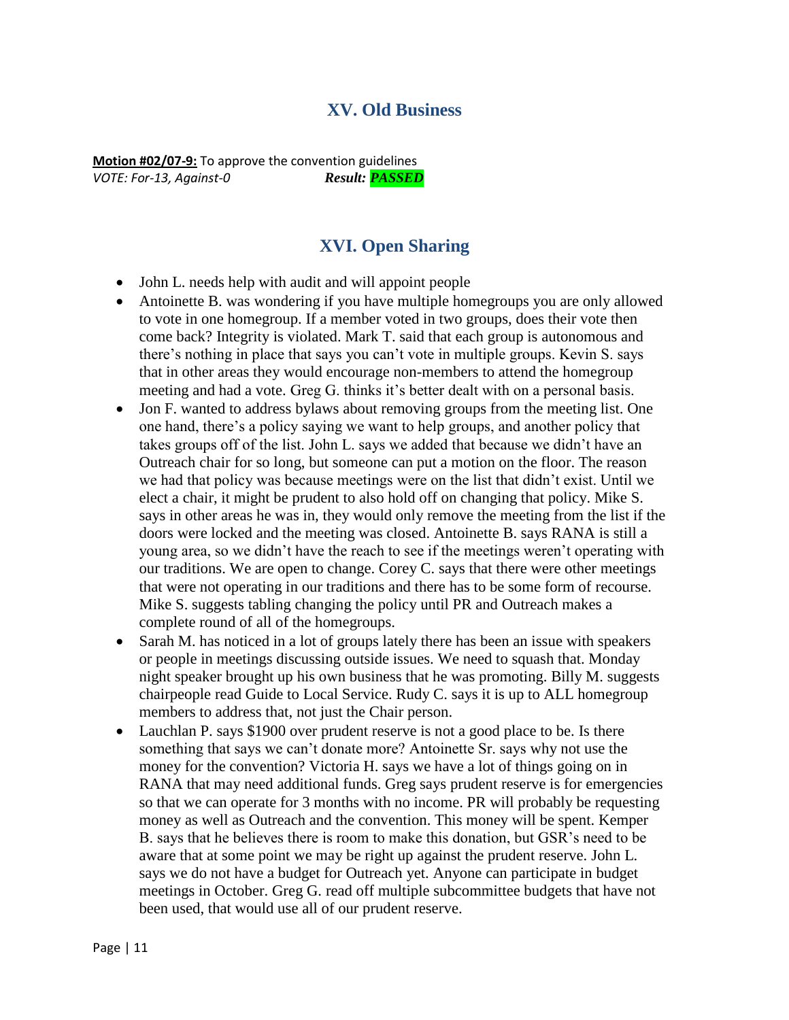# **XV. Old Business**

**Motion #02/07-9:** To approve the convention guidelines *VOTE: For-13, Against-0 Result: PASSED*

# **XVI. Open Sharing**

- John L. needs help with audit and will appoint people
- Antoinette B. was wondering if you have multiple homegroups you are only allowed to vote in one homegroup. If a member voted in two groups, does their vote then come back? Integrity is violated. Mark T. said that each group is autonomous and there's nothing in place that says you can't vote in multiple groups. Kevin S. says that in other areas they would encourage non-members to attend the homegroup meeting and had a vote. Greg G. thinks it's better dealt with on a personal basis.
- Jon F. wanted to address bylaws about removing groups from the meeting list. One one hand, there's a policy saying we want to help groups, and another policy that takes groups off of the list. John L. says we added that because we didn't have an Outreach chair for so long, but someone can put a motion on the floor. The reason we had that policy was because meetings were on the list that didn't exist. Until we elect a chair, it might be prudent to also hold off on changing that policy. Mike S. says in other areas he was in, they would only remove the meeting from the list if the doors were locked and the meeting was closed. Antoinette B. says RANA is still a young area, so we didn't have the reach to see if the meetings weren't operating with our traditions. We are open to change. Corey C. says that there were other meetings that were not operating in our traditions and there has to be some form of recourse. Mike S. suggests tabling changing the policy until PR and Outreach makes a complete round of all of the homegroups.
- Sarah M. has noticed in a lot of groups lately there has been an issue with speakers or people in meetings discussing outside issues. We need to squash that. Monday night speaker brought up his own business that he was promoting. Billy M. suggests chairpeople read Guide to Local Service. Rudy C. says it is up to ALL homegroup members to address that, not just the Chair person.
- Lauchlan P. says \$1900 over prudent reserve is not a good place to be. Is there something that says we can't donate more? Antoinette Sr. says why not use the money for the convention? Victoria H. says we have a lot of things going on in RANA that may need additional funds. Greg says prudent reserve is for emergencies so that we can operate for 3 months with no income. PR will probably be requesting money as well as Outreach and the convention. This money will be spent. Kemper B. says that he believes there is room to make this donation, but GSR's need to be aware that at some point we may be right up against the prudent reserve. John L. says we do not have a budget for Outreach yet. Anyone can participate in budget meetings in October. Greg G. read off multiple subcommittee budgets that have not been used, that would use all of our prudent reserve.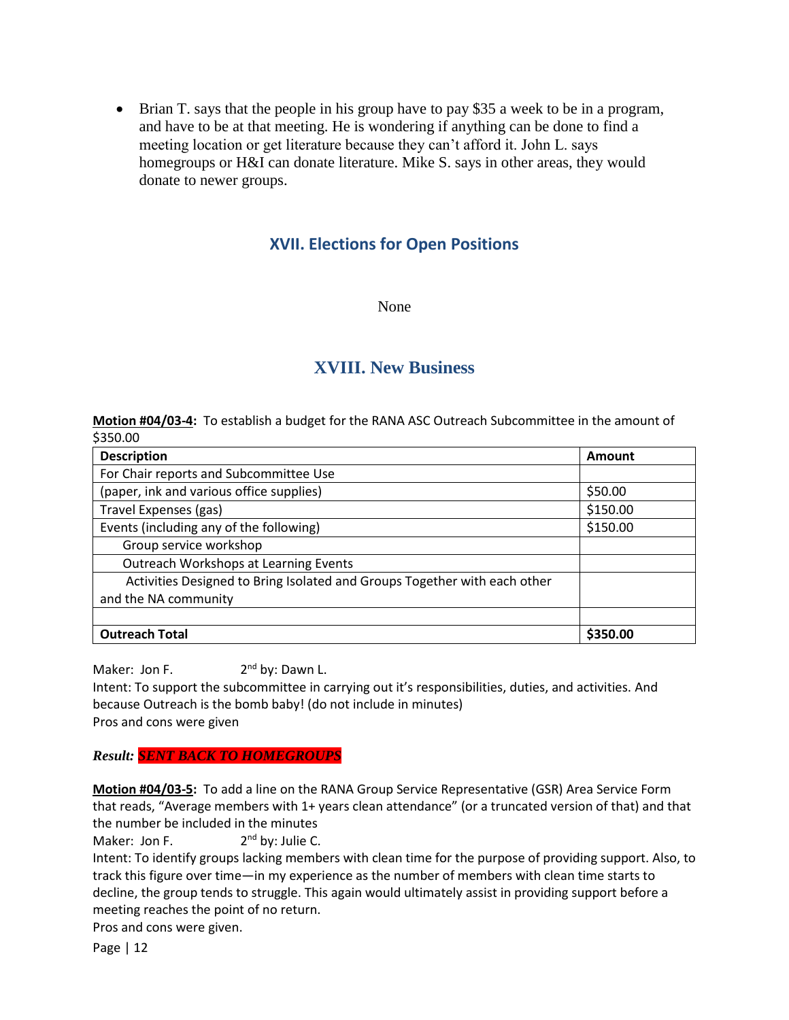Brian T. says that the people in his group have to pay \$35 a week to be in a program, and have to be at that meeting. He is wondering if anything can be done to find a meeting location or get literature because they can't afford it. John L. says homegroups or H&I can donate literature. Mike S. says in other areas, they would donate to newer groups.

# **XVII. Elections for Open Positions**

None

# **XVIII. New Business**

**Motion #04/03-4:** To establish a budget for the RANA ASC Outreach Subcommittee in the amount of \$350.00

| <b>Description</b>                                                        | Amount   |
|---------------------------------------------------------------------------|----------|
| For Chair reports and Subcommittee Use                                    |          |
| (paper, ink and various office supplies)                                  | \$50.00  |
| Travel Expenses (gas)                                                     | \$150.00 |
| Events (including any of the following)                                   | \$150.00 |
| Group service workshop                                                    |          |
| Outreach Workshops at Learning Events                                     |          |
| Activities Designed to Bring Isolated and Groups Together with each other |          |
| and the NA community                                                      |          |
|                                                                           |          |
| <b>Outreach Total</b>                                                     | \$350.00 |

Maker: Jon F. 2 2<sup>nd</sup> by: Dawn L. Intent: To support the subcommittee in carrying out it's responsibilities, duties, and activities. And because Outreach is the bomb baby! (do not include in minutes)

Pros and cons were given

*Result: SENT BACK TO HOMEGROUPS*

**Motion #04/03-5:** To add a line on the RANA Group Service Representative (GSR) Area Service Form that reads, "Average members with 1+ years clean attendance" (or a truncated version of that) and that the number be included in the minutes

Maker: Jon F. 2<sup>nd</sup> by: Julie C.

Intent: To identify groups lacking members with clean time for the purpose of providing support. Also, to track this figure over time—in my experience as the number of members with clean time starts to decline, the group tends to struggle. This again would ultimately assist in providing support before a meeting reaches the point of no return.

Pros and cons were given.

Page | 12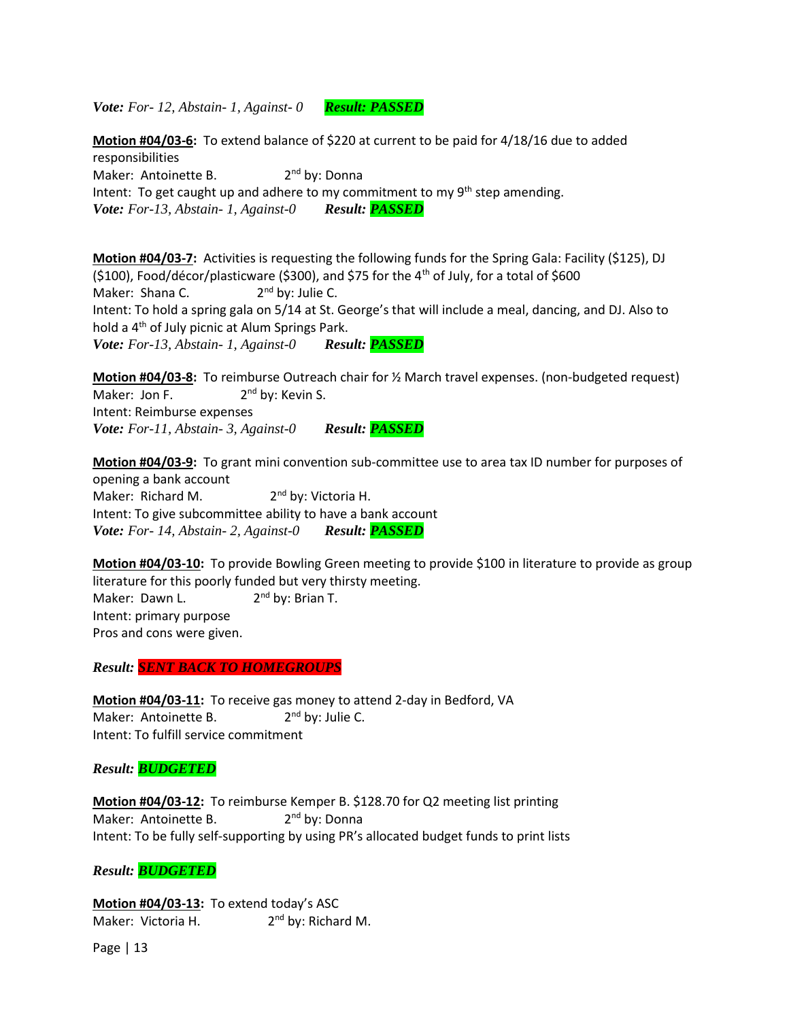*Vote: For- 12, Abstain- 1, Against- 0 Result: PASSED*

**Motion #04/03-6:** To extend balance of \$220 at current to be paid for 4/18/16 due to added responsibilities Maker: Antoinette B. 2<sup>nd</sup> by: Donna Intent: To get caught up and adhere to my commitment to my  $9<sup>th</sup>$  step amending. *Vote: For-13, Abstain- 1, Against-0 Result: PASSED*

**Motion #04/03-7:** Activities is requesting the following funds for the Spring Gala: Facility (\$125), DJ (\$100), Food/décor/plasticware (\$300), and \$75 for the  $4<sup>th</sup>$  of July, for a total of \$600 Maker: Shana C.  $2<sup>nd</sup>$  by: Julie C. Intent: To hold a spring gala on 5/14 at St. George's that will include a meal, dancing, and DJ. Also to hold a 4<sup>th</sup> of July picnic at Alum Springs Park. *Vote: For-13, Abstain- 1, Against-0 Result: PASSED*

**Motion #04/03-8:** To reimburse Outreach chair for ½ March travel expenses. (non-budgeted request) Maker: Jon F.  $2<sup>nd</sup>$  by: Kevin S. Intent: Reimburse expenses *Vote: For-11, Abstain- 3, Against-0 Result: PASSED*

**Motion #04/03-9:** To grant mini convention sub-committee use to area tax ID number for purposes of opening a bank account Maker: Richard M. 2<sup>nd</sup> by: Victoria H. Intent: To give subcommittee ability to have a bank account *Vote: For- 14, Abstain- 2, Against-0 Result: PASSED*

**Motion #04/03-10:** To provide Bowling Green meeting to provide \$100 in literature to provide as group literature for this poorly funded but very thirsty meeting. Maker: Dawn L. 2<sup>nd</sup> by: Brian T. Intent: primary purpose Pros and cons were given.

*Result: SENT BACK TO HOMEGROUPS*

**Motion #04/03-11:** To receive gas money to attend 2-day in Bedford, VA Maker: Antoinette B. 2<sup>nd</sup> by: Julie C. Intent: To fulfill service commitment

*Result: BUDGETED*

**Motion #04/03-12:** To reimburse Kemper B. \$128.70 for Q2 meeting list printing Maker: Antoinette B. 2<sup>nd</sup> by: Donna Intent: To be fully self-supporting by using PR's allocated budget funds to print lists

*Result: BUDGETED*

**Motion #04/03-13:** To extend today's ASC Maker: Victoria H. 2<sup>nd</sup> by: Richard M.

Page | 13